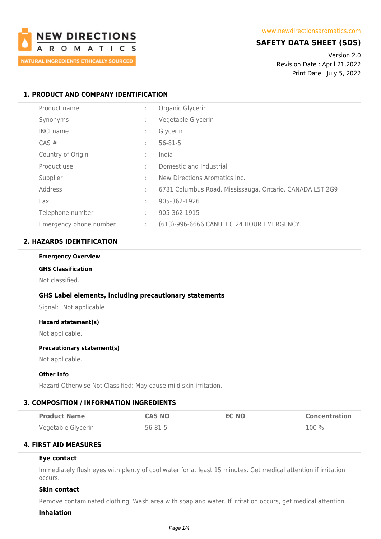

# **SAFETY DATA SHEET (SDS)**

Version 2.0 Revision Date : April 21,2022 Print Date : July 5, 2022

### **1. PRODUCT AND COMPANY IDENTIFICATION**

| Product name           | ÷ | Organic Glycerin                                         |
|------------------------|---|----------------------------------------------------------|
| Synonyms               | ÷ | Vegetable Glycerin                                       |
| <b>INCI name</b>       | ÷ | Glycerin                                                 |
| CAS#                   | ÷ | $56 - 81 - 5$                                            |
| Country of Origin      | ÷ | India                                                    |
| Product use            | ÷ | Domestic and Industrial                                  |
| Supplier               | ÷ | New Directions Aromatics Inc.                            |
| Address                | ÷ | 6781 Columbus Road, Mississauga, Ontario, CANADA L5T 2G9 |
| Fax                    | ÷ | 905-362-1926                                             |
| Telephone number       | ÷ | 905-362-1915                                             |
| Emergency phone number | ÷ | (613)-996-6666 CANUTEC 24 HOUR EMERGENCY                 |

### **2. HAZARDS IDENTIFICATION**

#### **Emergency Overview**

# **GHS Classification**

Not classified.

### **GHS Label elements, including precautionary statements**

Signal: Not applicable

#### **Hazard statement(s)**

Not applicable.

#### **Precautionary statement(s)**

Not applicable.

### **Other Info**

Hazard Otherwise Not Classified: May cause mild skin irritation.

### **3. COMPOSITION / INFORMATION INGREDIENTS**

| <b>Product Name</b> | <b>CAS NO</b> | EC NO                    | <b>Concentration</b> |
|---------------------|---------------|--------------------------|----------------------|
| Vegetable Glycerin  | 56-81-5       | $\overline{\phantom{a}}$ | $100\%$              |

## **4. FIRST AID MEASURES**

#### **Eye contact**

Immediately flush eyes with plenty of cool water for at least 15 minutes. Get medical attention if irritation occurs.

### **Skin contact**

Remove contaminated clothing. Wash area with soap and water. If irritation occurs, get medical attention.

#### **Inhalation**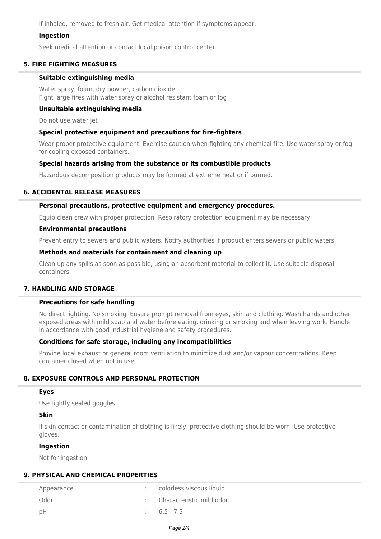If inhaled, removed to fresh air. Get medical attention if symptoms appear.

### **Ingestion**

Seek medical attention or contact local poison control center.

### **5. FIRE FIGHTING MEASURES**

### **Suitable extinguishing media**

Water spray, foam, dry powder, carbon dioxide. Fight large fires with water spray or alcohol resistant foam or fog

### **Unsuitable extinguishing media**

Do not use water jet

### **Special protective equipment and precautions for fire-fighters**

Wear proper protective equipment. Exercise caution when fighting any chemical fire. Use water spray or fog for cooling exposed containers.

### **Special hazards arising from the substance or its combustible products**

Hazardous decomposition products may be formed at extreme heat or if burned.

### **6. ACCIDENTAL RELEASE MEASURES**

### **Personal precautions, protective equipment and emergency procedures.**

Equip clean crew with proper protection. Respiratory protection equipment may be necessary.

#### **Environmental precautions**

Prevent entry to sewers and public waters. Notify authorities if product enters sewers or public waters.

### **Methods and materials for containment and cleaning up**

Clean up any spills as soon as possible, using an absorbent material to collect it. Use suitable disposal containers.

### **7. HANDLING AND STORAGE**

### **Precautions for safe handling**

No direct lighting. No smoking. Ensure prompt removal from eyes, skin and clothing. Wash hands and other exposed areas with mild soap and water before eating, drinking or smoking and when leaving work. Handle in accordance with good industrial hygiene and safety procedures.

### **Conditions for safe storage, including any incompatibilities**

Provide local exhaust or general room ventilation to minimize dust and/or vapour concentrations. Keep container closed when not in use.

### **8. EXPOSURE CONTROLS AND PERSONAL PROTECTION**

### **Eyes**

Use tightly sealed goggles.

### **Skin**

If skin contact or contamination of clothing is likely, protective clothing should be worn. Use protective gloves.

### **Ingestion**

Not for ingestion.

### **9. PHYSICAL AND CHEMICAL PROPERTIES**

| Appearance | colorless viscous liquid. |
|------------|---------------------------|
| Odor       | Characteristic mild odor. |
| – pH       | $6.5 - 7.5$               |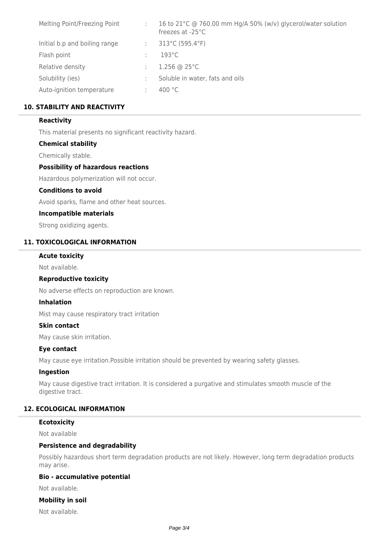| Melting Point/Freezing Point  | 16 to 21°C @ 760.00 mm Hg/A 50% (w/v) glycerol/water solution<br>freezes at $-25^{\circ}$ C |
|-------------------------------|---------------------------------------------------------------------------------------------|
| Initial b.p and boiling range | 313°C (595.4°F)                                                                             |
| Flash point                   | $193^{\circ}$ C                                                                             |
| Relative density              | 1.256 @ $25^{\circ}$ C                                                                      |
| Solubility (ies)              | Soluble in water, fats and oils                                                             |
| Auto-ignition temperature     | 400 °C                                                                                      |

### **10. STABILITY AND REACTIVITY**

### **Reactivity**

This material presents no significant reactivity hazard.

### **Chemical stability**

Chemically stable.

### **Possibility of hazardous reactions**

Hazardous polymerization will not occur.

#### **Conditions to avoid**

Avoid sparks, flame and other heat sources.

### **Incompatible materials**

Strong oxidizing agents.

### **11. TOXICOLOGICAL INFORMATION**

#### **Acute toxicity**

Not available.

#### **Reproductive toxicity**

No adverse effects on reproduction are known.

### **Inhalation**

Mist may cause respiratory tract irritation

#### **Skin contact**

May cause skin irritation.

### **Eye contact**

May cause eye irritation.Possible irritation should be prevented by wearing safety glasses.

#### **Ingestion**

May cause digestive tract irritation. It is considered a purgative and stimulates smooth muscle of the digestive tract.

### **12. ECOLOGICAL INFORMATION**

#### **Ecotoxicity**

Not available

### **Persistence and degradability**

Possibly hazardous short term degradation products are not likely. However, long term degradation products may arise.

### **Bio - accumulative potential**

Not available.

### **Mobility in soil**

Not available.